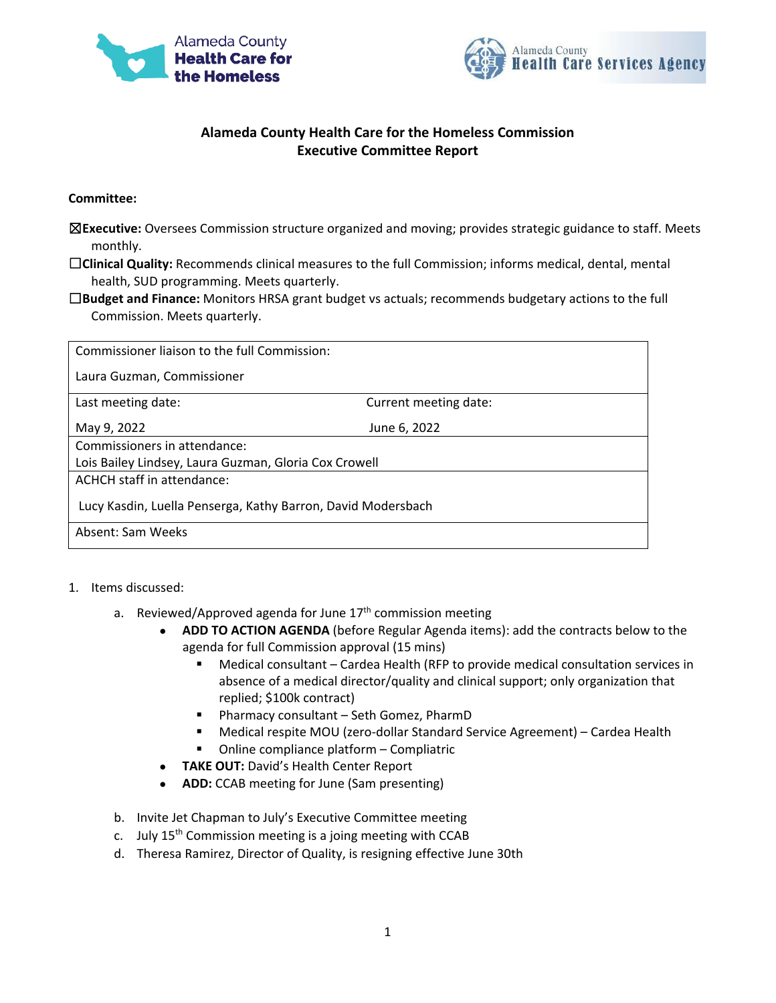



## **Alameda County Health Care for the Homeless Commission Executive Committee Report**

## **Committee:**

- ☒**Executive:** Oversees Commission structure organized and moving; provides strategic guidance to staff. Meets monthly.
- ☐**Clinical Quality:** Recommends clinical measures to the full Commission; informs medical, dental, mental health, SUD programming. Meets quarterly.
- ☐**Budget and Finance:** Monitors HRSA grant budget vs actuals; recommends budgetary actions to the full Commission. Meets quarterly.

| Commissioner liaison to the full Commission:                 |                       |
|--------------------------------------------------------------|-----------------------|
| Laura Guzman, Commissioner                                   |                       |
| Last meeting date:                                           | Current meeting date: |
| May 9, 2022                                                  | June 6, 2022          |
| Commissioners in attendance:                                 |                       |
| Lois Bailey Lindsey, Laura Guzman, Gloria Cox Crowell        |                       |
| ACHCH staff in attendance:                                   |                       |
| Lucy Kasdin, Luella Penserga, Kathy Barron, David Modersbach |                       |
| Absent: Sam Weeks                                            |                       |

## 1. Items discussed:

- a. Reviewed/Approved agenda for June  $17<sup>th</sup>$  commission meeting
	- **ADD TO ACTION AGENDA** (before Regular Agenda items): add the contracts below to the agenda for full Commission approval (15 mins)
		- Medical consultant Cardea Health (RFP to provide medical consultation services in absence of a medical director/quality and clinical support; only organization that replied; \$100k contract)
		- Pharmacy consultant Seth Gomez, PharmD
		- Medical respite MOU (zero-dollar Standard Service Agreement) Cardea Health
		- Online compliance platform Compliatric
	- **TAKE OUT:** David's Health Center Report
	- **ADD:** CCAB meeting for June (Sam presenting)
- b. Invite Jet Chapman to July's Executive Committee meeting
- c. July  $15<sup>th</sup>$  Commission meeting is a joing meeting with CCAB
- d. Theresa Ramirez, Director of Quality, is resigning effective June 30th